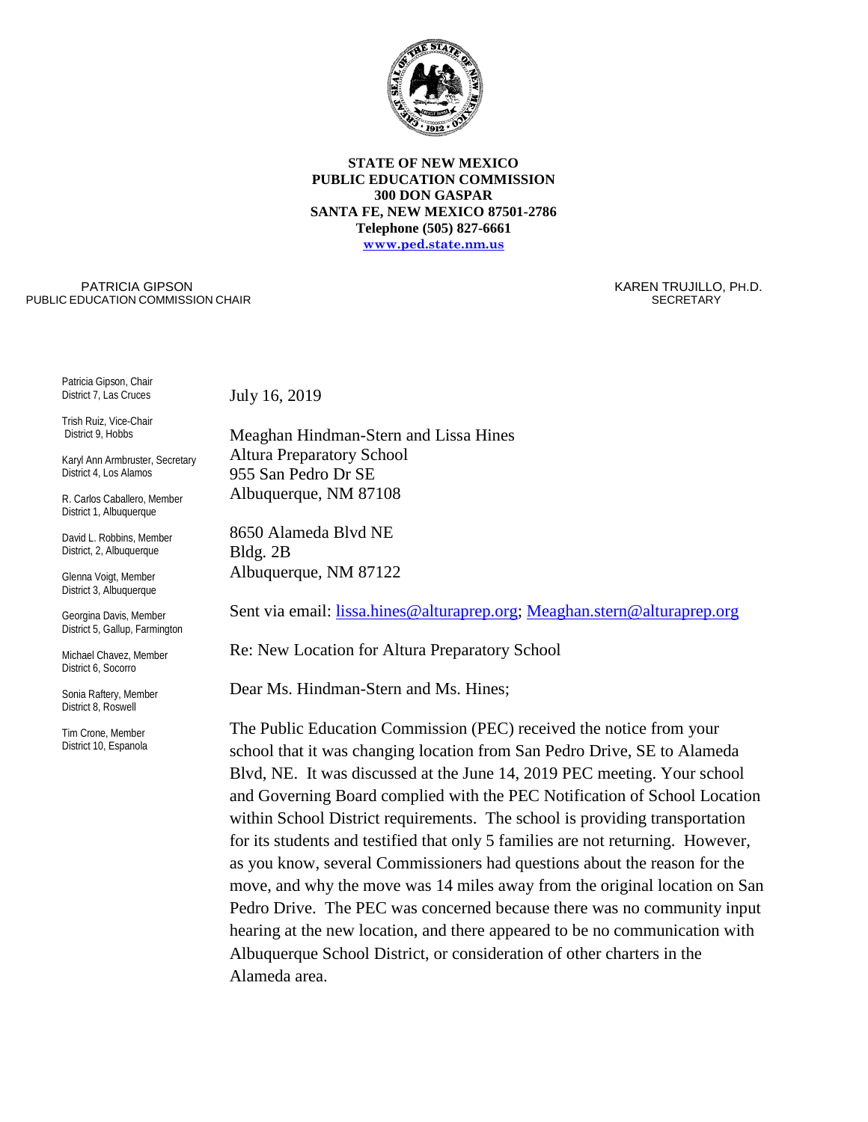

## **STATE OF NEW MEXICO PUBLIC EDUCATION COMMISSION 300 DON GASPAR SANTA FE, NEW MEXICO 87501-2786 Telephone (505) 827-6661 [www.ped.state.nm.us](http://www.sde.state.nm.us/)**

PATRICIA GIPSON PUBLIC EDUCATION COMMISSION CHAIR  KAREN TRUJILLO, PH.D. **SECRETARY** 

Patricia Gipson, Chair District 7, Las Cruces

Trish Ruiz, Vice-Chair District 9, Hobbs

Karyl Ann Armbruster, Secretary District 4, Los Alamos

R. Carlos Caballero, Member District 1, Albuquerque

David L. Robbins, Member District, 2, Albuquerque

Glenna Voigt, Member District 3, Albuquerque

Georgina Davis, Member District 5, Gallup, Farmington

Michael Chavez, Member District 6, Socorro

Sonia Raftery, Member District 8, Roswell

Tim Crone, Member District 10, Espanola July 16, 2019

Meaghan Hindman-Stern and Lissa Hines Altura Preparatory School 955 San Pedro Dr SE Albuquerque, NM 87108

8650 Alameda Blvd NE Bldg. 2B Albuquerque, NM 87122

Sent via email: [lissa.hines@alturaprep.org;](mailto:lissa.hines@alturaprep.org) [Meaghan.stern@alturaprep.org](mailto:Meaghan.stern@alturaprep.org)

Re: New Location for Altura Preparatory School

Dear Ms. Hindman-Stern and Ms. Hines;

The Public Education Commission (PEC) received the notice from your school that it was changing location from San Pedro Drive, SE to Alameda Blvd, NE. It was discussed at the June 14, 2019 PEC meeting. Your school and Governing Board complied with the PEC Notification of School Location within School District requirements. The school is providing transportation for its students and testified that only 5 families are not returning. However, as you know, several Commissioners had questions about the reason for the move, and why the move was 14 miles away from the original location on San Pedro Drive. The PEC was concerned because there was no community input hearing at the new location, and there appeared to be no communication with Albuquerque School District, or consideration of other charters in the Alameda area.